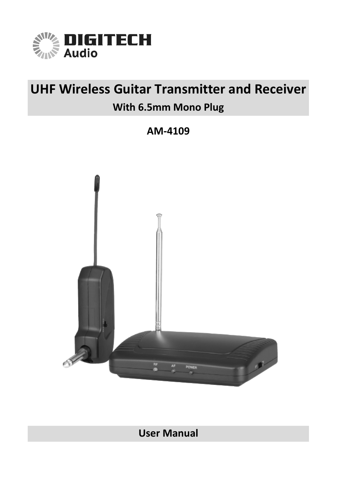

# **UHF Wireless Guitar Transmitter and Receiver**

## **With 6.5mm Mono Plug**

**AM-4109**



**User Manual**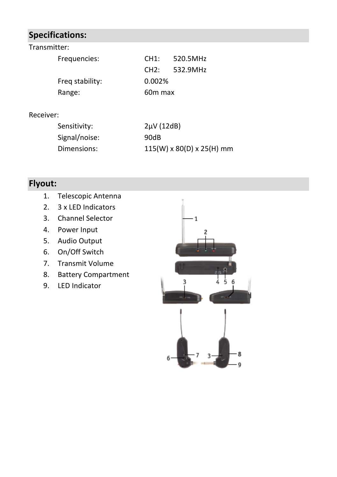## **Specifications:**

| Transmitter:    |                     |          |
|-----------------|---------------------|----------|
| Frequencies:    | CH1:                | 520.5MHz |
|                 | CH2:                | 532.9MHz |
| Freq stability: | 0.002%              |          |
| Range:          | 60 <sub>m</sub> max |          |

#### Receiver:

| Sensitivity:  | $2\mu V$ (12dB)                       |
|---------------|---------------------------------------|
| Signal/noise: | 90dB                                  |
| Dimensions:   | $115(W) \times 80(D) \times 25(H)$ mm |

## **Flyout:**

- 1. Telescopic Antenna
- 2. 3 x LED Indicators
- 3. Channel Selector
- 4. Power Input
- 5. Audio Output
- 6. On/Off Switch
- 7. Transmit Volume
- 8. Battery Compartment
- 9. LED Indicator